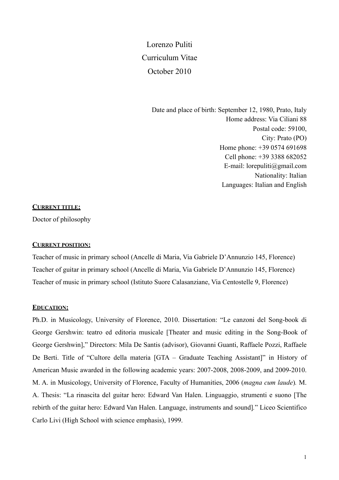# Lorenzo Puliti Curriculum Vitae October 2010

Date and place of birth: September 12, 1980, Prato, Italy Home address: Via Ciliani 88 Postal code: 59100, City: Prato (PO) Home phone: +39 0574 691698 Cell phone: +39 3388 682052 E-mail: lorepuliti@gmail.com Nationality: Italian Languages: Italian and English

## **CURRENT TITLE:**

Doctor of philosophy

## **CURRENT POSITION:**

Teacher of music in primary school (Ancelle di Maria, Via Gabriele D'Annunzio 145, Florence) Teacher of guitar in primary school (Ancelle di Maria, Via Gabriele D'Annunzio 145, Florence) Teacher of music in primary school (Istituto Suore Calasanziane, Via Centostelle 9, Florence)

## **EDUCATION:**

Ph.D. in Musicology, University of Florence, 2010. Dissertation: "Le canzoni del Song-book di George Gershwin: teatro ed editoria musicale [Theater and music editing in the Song-Book of George Gershwin]," Directors: Mila De Santis (advisor), Giovanni Guanti, Raffaele Pozzi, Raffaele De Berti. Title of "Cultore della materia [GTA – Graduate Teaching Assistant]" in History of American Music awarded in the following academic years: 2007-2008, 2008-2009, and 2009-2010. M. A. in Musicology, University of Florence, Faculty of Humanities, 2006 (*magna cum laude*)*.* M. A. Thesis: "La rinascita del guitar hero: Edward Van Halen. Linguaggio, strumenti e suono [The rebirth of the guitar hero: Edward Van Halen. Language, instruments and sound]*.*" Liceo Scientifico Carlo Livi (High School with science emphasis), 1999.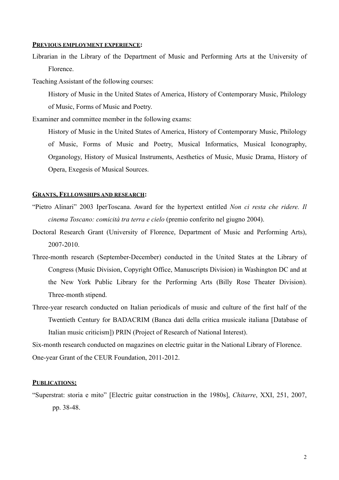## **PREVIOUS EMPLOYMENT EXPERIENCE:**

Librarian in the Library of the Department of Music and Performing Arts at the University of Florence.

Teaching Assistant of the following courses:

 History of Music in the United States of America, History of Contemporary Music, Philology of Music, Forms of Music and Poetry.

Examiner and committee member in the following exams:

 History of Music in the United States of America, History of Contemporary Music, Philology of Music, Forms of Music and Poetry, Musical Informatics, Musical Iconography, Organology, History of Musical Instruments, Aesthetics of Music, Music Drama, History of Opera, Exegesis of Musical Sources.

## **GRANTS, FELLOWSHIPS AND RESEARCH:**

- "Pietro Alinari" 2003 IperToscana. Award for the hypertext entitled *Non ci resta che ridere. Il cinema Toscano: comicità tra terra e cielo* (premio conferito nel giugno 2004).
- Doctoral Research Grant (University of Florence, Department of Music and Performing Arts), 2007-2010.
- Three-month research (September-December) conducted in the United States at the Library of Congress (Music Division, Copyright Office, Manuscripts Division) in Washington DC and at the New York Public Library for the Performing Arts (Billy Rose Theater Division). Three-month stipend.
- Three-year research conducted on Italian periodicals of music and culture of the first half of the Twentieth Century for BADACRIM (Banca dati della critica musicale italiana [Database of Italian music criticism]) PRIN (Project of Research of National Interest).

Six-month research conducted on magazines on electric guitar in the National Library of Florence. One-year Grant of the CEUR Foundation, 2011-2012.

### **PUBLICATIONS:**

"Superstrat: storia e mito" [Electric guitar construction in the 1980s], *Chitarre*, XXI, 251, 2007, pp. 38-48.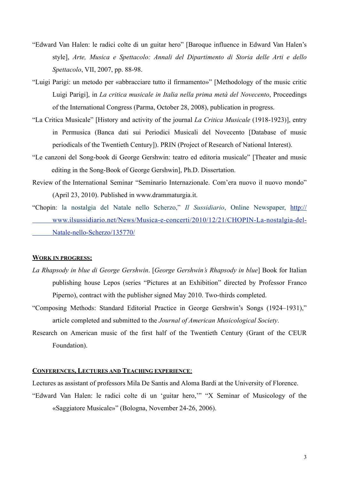- "Edward Van Halen: le radici colte di un guitar hero" [Baroque influence in Edward Van Halen's style], *Arte, Musica e Spettacolo: Annali del Dipartimento di Storia delle Arti e dello Spettacolo*, VII, 2007, pp. 88-98.
- "Luigi Parigi: un metodo per «abbracciare tutto il firmamento»" [Methodology of the music critic Luigi Parigi], in *La critica musicale in Italia nella prima metà del Novecento*, Proceedings of the International Congress (Parma, October 28, 2008), publication in progress.
- "La Critica Musicale" [History and activity of the journal *La Critica Musicale* (1918-1923)], entry in Permusica (Banca dati sui Periodici Musicali del Novecento [Database of music periodicals of the Twentieth Century]). PRIN (Project of Research of National Interest).
- "Le canzoni del Song-book di George Gershwin: teatro ed editoria musicale" [Theater and music editing in the Song-Book of George Gershwin], Ph.D. Dissertation.
- Review of the International Seminar "Seminario Internazionale. Com'era nuovo il nuovo mondo" (April 23, 2010). Published in [www.drammaturgia.it](http://www.drammaturgia.it).
- "Chopin: la nostalgia del Natale nello Scherzo," *Il Sussidiario*, Online Newspaper, [http://](http://www.ilsussidiario.net/News/Musica-e-concerti/2010/12/21/CHOPIN-La-nostalgia-del-Natale-nello-Scherzo/135770/)  [www.ilsussidiario.net/News/Musica-e-concerti/2010/12/21/CHOPIN-La-nostalgia-del-](http://www.ilsussidiario.net/News/Musica-e-concerti/2010/12/21/CHOPIN-La-nostalgia-del-Natale-nello-Scherzo/135770/)  [Natale-nello-Scherzo/135770/](http://www.ilsussidiario.net/News/Musica-e-concerti/2010/12/21/CHOPIN-La-nostalgia-del-Natale-nello-Scherzo/135770/)

#### **WORK IN PROGRESS:**

- *La Rhapsody in blue di George Gershwin*. [*George Gershwin's Rhapsody in blue*] Book for Italian publishing house Lepos (series "Pictures at an Exhibition" directed by Professor Franco Piperno), contract with the publisher signed May 2010. Two-thirds completed.
- "Composing Methods: Standard Editorial Practice in George Gershwin's Songs (1924–1931)," article completed and submitted to the *Journal of American Musicological Society*.
- Research on American music of the first half of the Twentieth Century (Grant of the CEUR Foundation).

## **CONFERENCES, LECTURES AND TEACHING EXPERIENCE**:

Lectures as assistant of professors Mila De Santis and Aloma Bardi at the University of Florence.

"Edward Van Halen: le radici colte di un 'guitar hero,'" "X Seminar of Musicology of the «Saggiatore Musicale»" (Bologna, November 24-26, 2006).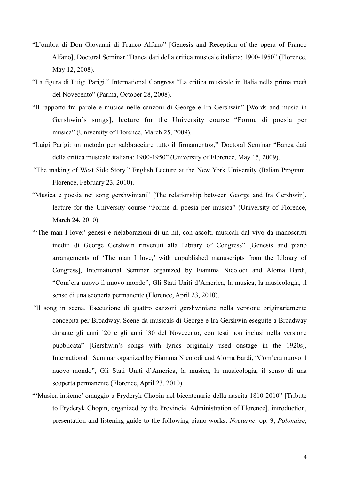- "L'ombra di Don Giovanni di Franco Alfano" [Genesis and Reception of the opera of Franco Alfano], Doctoral Seminar "Banca dati della critica musicale italiana: 1900-1950" (Florence, May 12, 2008).
- "La figura di Luigi Parigi," International Congress "La critica musicale in Italia nella prima metà del Novecento" (Parma, October 28, 2008).
- "Il rapporto fra parole e musica nelle canzoni di George e Ira Gershwin" [Words and music in Gershwin's songs], lecture for the University course "Forme di poesia per musica" (University of Florence, March 25, 2009).
- "Luigi Parigi: un metodo per «abbracciare tutto il firmamento»," Doctoral Seminar "Banca dati della critica musicale italiana: 1900-1950" (University of Florence, May 15, 2009).
- *"*The making of West Side Story," English Lecture at the New York University (Italian Program, Florence, February 23, 2010).
- "Musica e poesia nei song gershwiniani" [The relationship between George and Ira Gershwin], lecture for the University course "Forme di poesia per musica" (University of Florence, March 24, 2010).
- "'The man I love:' genesi e rielaborazioni di un hit, con ascolti musicali dal vivo da manoscritti inediti di George Gershwin rinvenuti alla Library of Congress" [Genesis and piano arrangements of 'The man I love,' with unpublished manuscripts from the Library of Congress], International Seminar organized by Fiamma Nicolodi and Aloma Bardi, "Com'era nuovo il nuovo mondo", Gli Stati Uniti d'America, la musica, la musicologia, il senso di una scoperta permanente (Florence, April 23, 2010).
- *"*Il song in scena. Esecuzione di quattro canzoni gershwiniane nella versione originariamente concepita per Broadway. Scene da musicals di George e Ira Gershwin eseguite a Broadway durante gli anni '20 e gli anni '30 del Novecento, con testi non inclusi nella versione pubblicata" [Gershwin's songs with lyrics originally used onstage in the 1920s], International Seminar organized by Fiamma Nicolodi and Aloma Bardi, "Com'era nuovo il nuovo mondo", Gli Stati Uniti d'America, la musica, la musicologia, il senso di una scoperta permanente (Florence, April 23, 2010).
- "'Musica insieme' omaggio a Fryderyk Chopin nel bicentenario della nascita 1810-2010" [Tribute to Fryderyk Chopin, organized by the Provincial Administration of Florence], introduction, presentation and listening guide to the following piano works: *Nocturne*, op. 9, *Polonaise*,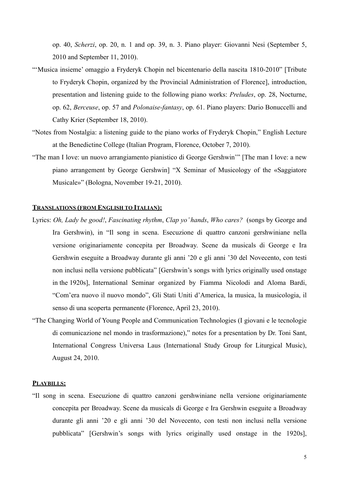op. 40, *Scherzi*, op. 20, n. 1 and op. 39, n. 3. Piano player: Giovanni Nesi (September 5, 2010 and September 11, 2010).

- "'Musica insieme' omaggio a Fryderyk Chopin nel bicentenario della nascita 1810-2010" [Tribute to Fryderyk Chopin, organized by the Provincial Administration of Florence], introduction, presentation and listening guide to the following piano works: *Preludes*, op. 28, Nocturne, op. 62, *Berceuse*, op. 57 and *Polonaise-fantasy*, op. 61. Piano players: Dario Bonuccelli and Cathy Krier (September 18, 2010).
- "Notes from Nostalgia: a listening guide to the piano works of Fryderyk Chopin," English Lecture at the Benedictine College (Italian Program, Florence, October 7, 2010).
- "The man I love: un nuovo arrangiamento pianistico di George Gershwin'" [The man I love: a new piano arrangement by George Gershwin] "X Seminar of Musicology of the «Saggiatore Musicale»" (Bologna, November 19-21, 2010).

## **TRANSLATIONS (FROM ENGLISH TO ITALIAN):**

- Lyrics: *Oh, Lady be good!*, *Fascinating rhythm*, *Clap yo' hands*, *Who cares?* (songs by George and Ira Gershwin), in "Il song in scena. Esecuzione di quattro canzoni gershwiniane nella versione originariamente concepita per Broadway. Scene da musicals di George e Ira Gershwin eseguite a Broadway durante gli anni '20 e gli anni '30 del Novecento, con testi non inclusi nella versione pubblicata" [Gershwin's songs with lyrics originally used onstage in the 1920s], International Seminar organized by Fiamma Nicolodi and Aloma Bardi, "Com'era nuovo il nuovo mondo", Gli Stati Uniti d'America, la musica, la musicologia, il senso di una scoperta permanente (Florence, April 23, 2010).
- "The Changing World of Young People and Communication Technologies (I giovani e le tecnologie di comunicazione nel mondo in trasformazione)," notes for a presentation by Dr. Toni Sant, International Congress Universa Laus (International Study Group for Liturgical Music), August 24, 2010.

# **PLAYBILLS:**

"Il song in scena. Esecuzione di quattro canzoni gershwiniane nella versione originariamente concepita per Broadway. Scene da musicals di George e Ira Gershwin eseguite a Broadway durante gli anni '20 e gli anni '30 del Novecento, con testi non inclusi nella versione pubblicata" [Gershwin's songs with lyrics originally used onstage in the 1920s],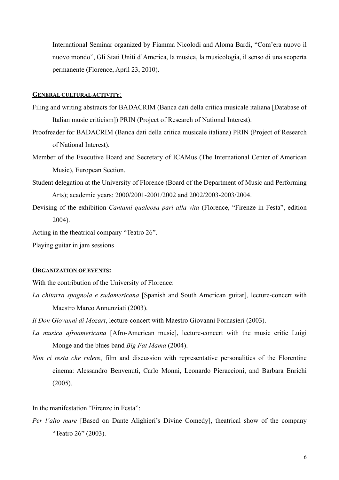International Seminar organized by Fiamma Nicolodi and Aloma Bardi, "Com'era nuovo il nuovo mondo", Gli Stati Uniti d'America, la musica, la musicologia, il senso di una scoperta permanente (Florence, April 23, 2010).

## **GENERAL CULTURAL ACTIVITY**:

- Filing and writing abstracts for BADACRIM (Banca dati della critica musicale italiana [Database of Italian music criticism]) PRIN (Project of Research of National Interest).
- Proofreader for BADACRIM (Banca dati della critica musicale italiana) PRIN (Project of Research of National Interest).
- Member of the Executive Board and Secretary of ICAMus (The International Center of American Music), European Section.
- Student delegation at the University of Florence (Board of the Department of Music and Performing Arts); academic years: 2000/2001-2001/2002 and 2002/2003-2003/2004.
- Devising of the exhibition *Cantami qualcosa pari alla vita* (Florence, "Firenze in Festa", edition 2004).

Acting in the theatrical company "Teatro 26".

Playing guitar in jam sessions

#### **ORGANIZATION OF EVENTS:**

With the contribution of the University of Florence:

- *La chitarra spagnola e sudamericana* [Spanish and South American guitar], lecture-concert with Maestro Marco Annunziati (2003).
- *Il Don Giovanni di Mozart*, lecture-concert with Maestro Giovanni Fornasieri (2003).
- *La musica afroamericana* [Afro-American music], lecture-concert with the music critic Luigi Monge and the blues band *Big Fat Mama* (2004).
- *Non ci resta che ridere*, film and discussion with representative personalities of the Florentine cinema: Alessandro Benvenuti, Carlo Monni, Leonardo Pieraccioni, and Barbara Enrichi (2005).

In the manifestation "Firenze in Festa":

*Per l'alto mare* [Based on Dante Alighieri's Divine Comedy], theatrical show of the company "Teatro 26" (2003).